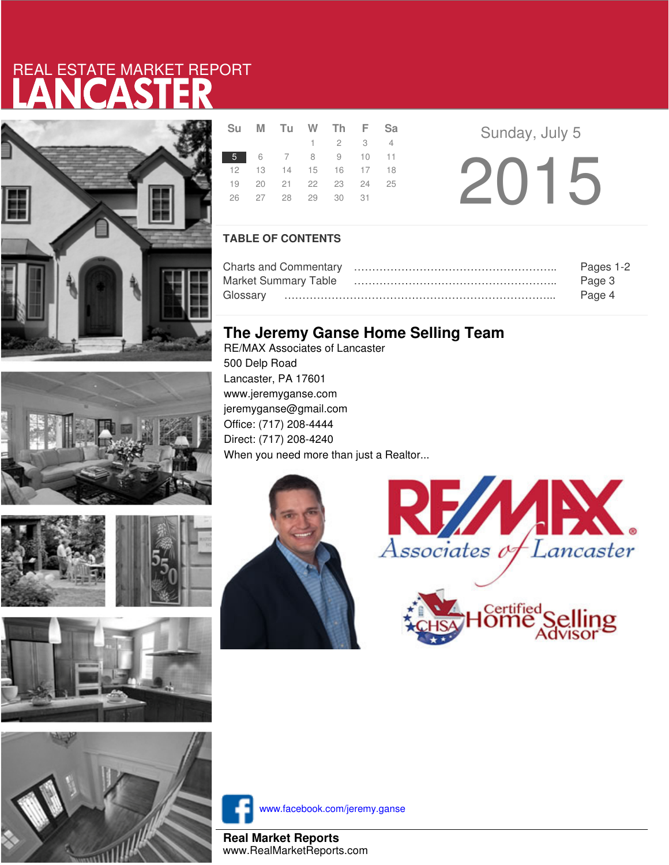# LANCASTER REAL ESTATE MARKET REPORT









| Su | M Tu W Th F Sa             |                             |  |  |
|----|----------------------------|-----------------------------|--|--|
|    |                            | $1 \quad 2 \quad 3 \quad 4$ |  |  |
|    | 5 6 7 8 9 10 11            |                             |  |  |
|    | 12  13  14  15  16  17  18 |                             |  |  |
|    | 19 20 21 22 23 24 25       |                             |  |  |
|    | 26 27 28 29 30 31          |                             |  |  |
|    |                            |                             |  |  |

**a Sunday**, July 5 2015

### **TABLE OF CONTENTS**

|                      | Pages 1-2 |
|----------------------|-----------|
| Market Summary Table | Page 3    |
|                      | Page 4    |

## **The Jeremy Ganse Home Selling Team**

RE/MAX Associates of Lancaster 500 Delp Road Lancaster, PA 17601 www.jeremyganse.com jeremyganse@gmail.com Office: (717) 208-4444 Direct: (717) 208-4240 When you need more than just a Realtor...







www.facebook.com/jeremy.ganse

**Real Market Reports** www.RealMarketReports.com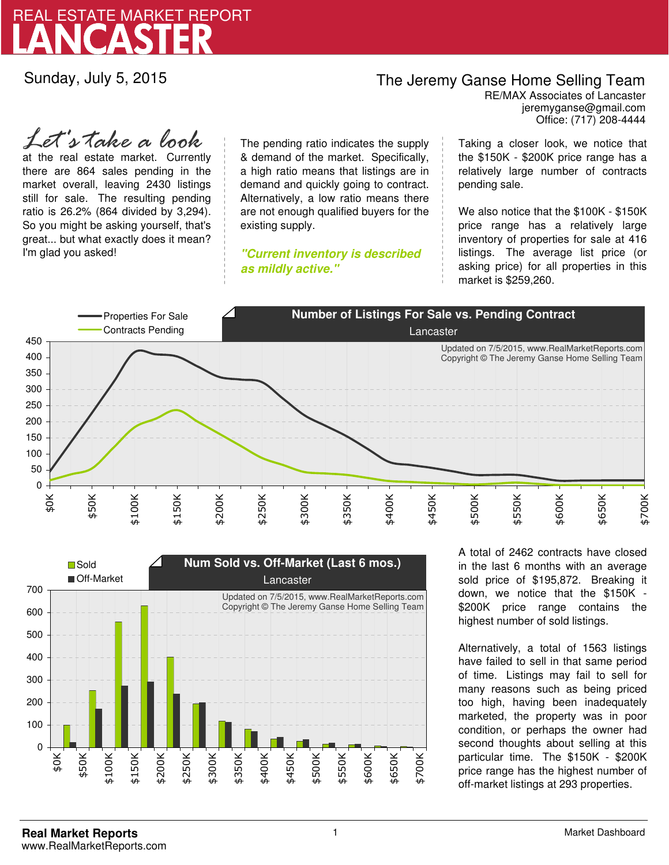

Sunday, July 5, 2015

## The Jeremy Ganse Home Selling Team

jeremyganse@gmail.com RE/MAX Associates of Lancaster Office: (717) 208-4444

at the real estate market. Currently there are 864 sales pending in the market overall, leaving 2430 listings still for sale. The resulting pending ratio is 26.2% (864 divided by 3,294). So you might be asking yourself, that's great... but what exactly does it mean? I'm glad you asked! *Let's take a look*

The pending ratio indicates the supply & demand of the market. Specifically, a high ratio means that listings are in demand and quickly going to contract. Alternatively, a low ratio means there are not enough qualified buyers for the existing supply.

**"Current inventory is described as mildly active."**

Taking a closer look, we notice that the \$150K - \$200K price range has a relatively large number of contracts pending sale.

We also notice that the \$100K - \$150K price range has a relatively large inventory of properties for sale at 416 listings. The average list price (or asking price) for all properties in this market is \$259,260.





A total of 2462 contracts have closed in the last 6 months with an average sold price of \$195,872. Breaking it down, we notice that the \$150K - \$200K price range contains the highest number of sold listings.

Alternatively, a total of 1563 listings have failed to sell in that same period of time. Listings may fail to sell for many reasons such as being priced too high, having been inadequately marketed, the property was in poor condition, or perhaps the owner had second thoughts about selling at this particular time. The \$150K - \$200K price range has the highest number of off-market listings at 293 properties.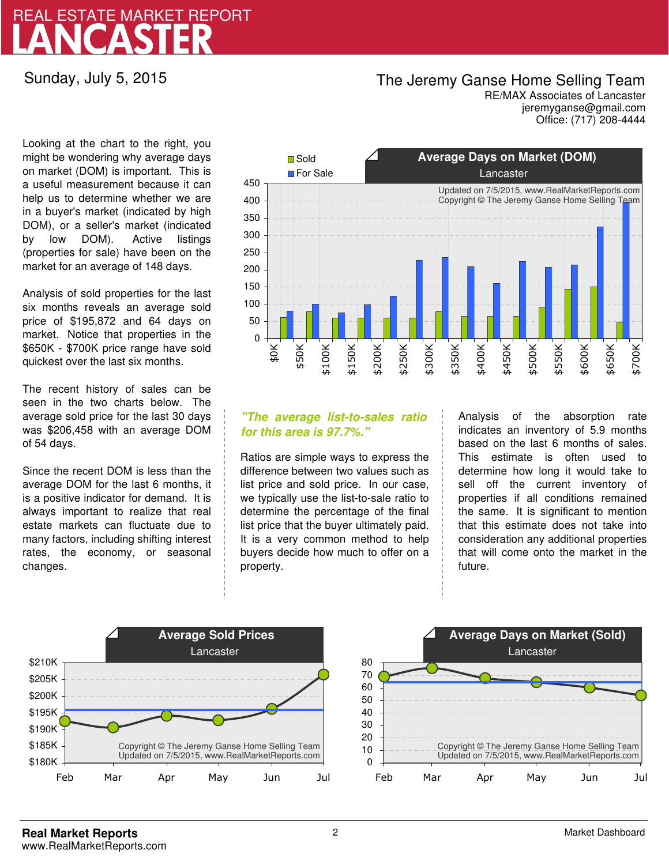# LANCASTER REAL ESTATE MARKET REPORT

Sunday, July 5, 2015

### The Jeremy Ganse Home Selling Team

jeremyganse@gmail.com RE/MAX Associates of Lancaster Office: (717) 208-4444

Looking at the chart to the right, you might be wondering why average days on market (DOM) is important. This is a useful measurement because it can help us to determine whether we are in a buyer's market (indicated by high DOM), or a seller's market (indicated by low DOM). Active listings (properties for sale) have been on the market for an average of 148 days.

Analysis of sold properties for the last six months reveals an average sold price of \$195,872 and 64 days on market. Notice that properties in the \$650K - \$700K price range have sold quickest over the last six months.

The recent history of sales can be seen in the two charts below. The average sold price for the last 30 days was \$206,458 with an average DOM of 54 days.

Since the recent DOM is less than the average DOM for the last 6 months, it is a positive indicator for demand. It is always important to realize that real estate markets can fluctuate due to many factors, including shifting interest rates, the economy, or seasonal changes.



### **"The average list-to-sales ratio for this area is 97.7%."**

Ratios are simple ways to express the difference between two values such as list price and sold price. In our case, we typically use the list-to-sale ratio to determine the percentage of the final list price that the buyer ultimately paid. It is a very common method to help buyers decide how much to offer on a property.

Analysis of the absorption rate indicates an inventory of 5.9 months based on the last 6 months of sales. This estimate is often used to determine how long it would take to sell off the current inventory of properties if all conditions remained the same. It is significant to mention that this estimate does not take into consideration any additional properties that will come onto the market in the future.



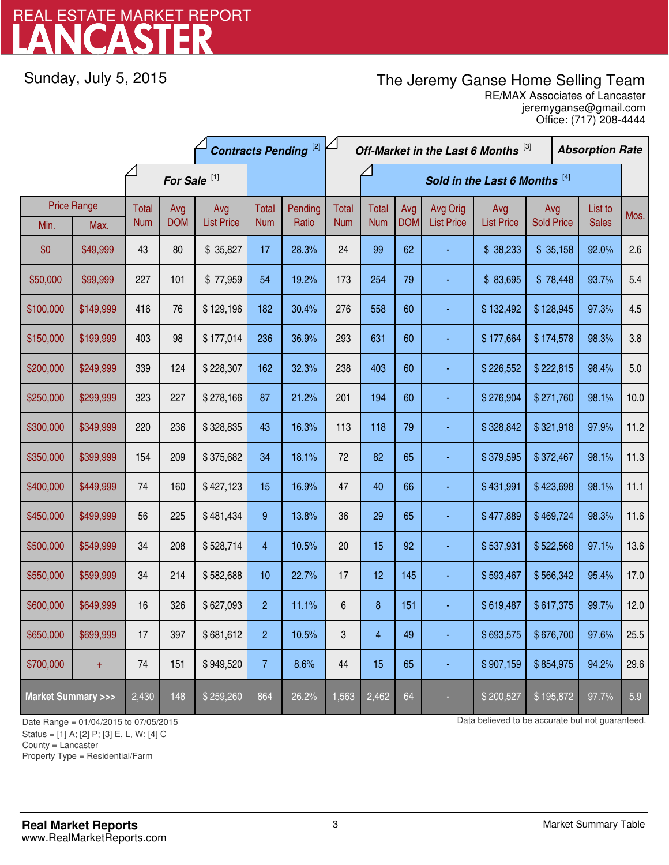# LANCASTER REAL ESTATE MARKET REPORT

Sunday, July 5, 2015

## The Jeremy Ganse Home Selling Team

jeremyganse@gmail.com RE/MAX Associates of Lancaster Office: (717) 208-4444

|                                    |                            | <b>Contracts Pending [2]</b> |                   |                          |                     | Off-Market in the Last 6 Months [3] |                            |                            |                   |                               | <b>Absorption Rate</b>   |                          |  |                         |      |
|------------------------------------|----------------------------|------------------------------|-------------------|--------------------------|---------------------|-------------------------------------|----------------------------|----------------------------|-------------------|-------------------------------|--------------------------|--------------------------|--|-------------------------|------|
|                                    |                            | For Sale <sup>[1]</sup>      |                   |                          |                     | Sold in the Last 6 Months [4]       |                            |                            |                   |                               |                          |                          |  |                         |      |
| Min.                               | <b>Price Range</b><br>Max. | <b>Total</b><br><b>Num</b>   | Avg<br><b>DOM</b> | Avg<br><b>List Price</b> | Total<br><b>Num</b> | Pending<br>Ratio                    | <b>Total</b><br><b>Num</b> | <b>Total</b><br><b>Num</b> | Avg<br><b>DOM</b> | Avg Orig<br><b>List Price</b> | Avg<br><b>List Price</b> | Avg<br><b>Sold Price</b> |  | List to<br><b>Sales</b> | Mos. |
| \$0                                | \$49,999                   | 43                           | 80                | \$35,827                 | 17                  | 28.3%                               | 24                         | 99                         | 62                |                               | \$38,233                 | \$35,158                 |  | 92.0%                   | 2.6  |
| \$50,000                           | \$99,999                   | 227                          | 101               | \$77,959                 | 54                  | 19.2%                               | 173                        | 254                        | 79                |                               | \$83,695                 | \$78,448                 |  | 93.7%                   | 5.4  |
| \$100,000                          | \$149,999                  | 416                          | 76                | \$129,196                | 182                 | 30.4%                               | 276                        | 558                        | 60                |                               | \$132,492                | \$128,945                |  | 97.3%                   | 4.5  |
| \$150,000                          | \$199,999                  | 403                          | 98                | \$177,014                | 236                 | 36.9%                               | 293                        | 631                        | 60                |                               | \$177,664                | \$174,578                |  | 98.3%                   | 3.8  |
| \$200,000                          | \$249,999                  | 339                          | 124               | \$228,307                | 162                 | 32.3%                               | 238                        | 403                        | 60                |                               | \$226,552                | \$222,815                |  | 98.4%                   | 5.0  |
| \$250,000                          | \$299,999                  | 323                          | 227               | \$278,166                | 87                  | 21.2%                               | 201                        | 194                        | 60                |                               | \$276,904                | \$271,760                |  | 98.1%                   | 10.0 |
| \$300,000                          | \$349,999                  | 220                          | 236               | \$328,835                | 43                  | 16.3%                               | 113                        | 118                        | 79                |                               | \$328,842                | \$321,918                |  | 97.9%                   | 11.2 |
| \$350,000                          | \$399,999                  | 154                          | 209               | \$375,682                | 34                  | 18.1%                               | 72                         | 82                         | 65                |                               | \$379,595                | \$372,467                |  | 98.1%                   | 11.3 |
| \$400,000                          | \$449,999                  | 74                           | 160               | \$427,123                | 15                  | 16.9%                               | 47                         | 40                         | 66                |                               | \$431,991                | \$423,698                |  | 98.1%                   | 11.1 |
| \$450,000                          | \$499,999                  | 56                           | 225               | \$481,434                | 9                   | 13.8%                               | 36                         | 29                         | 65                | ä,                            | \$477,889                | \$469,724                |  | 98.3%                   | 11.6 |
| \$500,000                          | \$549,999                  | 34                           | 208               | \$528,714                | 4                   | 10.5%                               | 20                         | 15                         | 92                |                               | \$537,931                | \$522,568                |  | 97.1%                   | 13.6 |
| \$550,000                          | \$599,999                  | 34                           | 214               | \$582,688                | 10                  | 22.7%                               | 17                         | 12                         | 145               |                               | \$593,467                | \$566,342                |  | 95.4%                   | 17.0 |
| \$600,000                          | \$649,999                  | 16                           | 326               | \$627,093                | $\overline{c}$      | 11.1%                               | 6                          | 8                          | 151               |                               | \$619,487                | \$617,375                |  | 99.7%                   | 12.0 |
| \$650,000                          | \$699,999                  | 17                           | 397               | \$681,612                | $\overline{c}$      | 10.5%                               | 3                          | 4                          | 49                |                               | \$693,575                | \$676,700                |  | 97.6%                   | 25.5 |
| \$700,000                          | $\pm$                      | 74                           | 151               | \$949,520                | $\overline{7}$      | 8.6%                                | 44                         | 15                         | 65                |                               | \$907,159                | \$854,975                |  | 94.2%                   | 29.6 |
| <b>Market Summary &gt;&gt;&gt;</b> |                            | 2,430                        | 148               | \$259,260                | 864                 | 26.2%                               | 1,563                      | 2,462                      | 64                |                               | \$200,527                | \$195,872                |  | 97.7%                   | 5.9  |

Status = [1] A; [2] P; [3] E, L, W; [4] C

County = Lancaster

1

Property Type = Residential/Farm

Date Range = 01/04/2015 to 07/05/2015 **Data believed to be accurate but not guaranteed.**